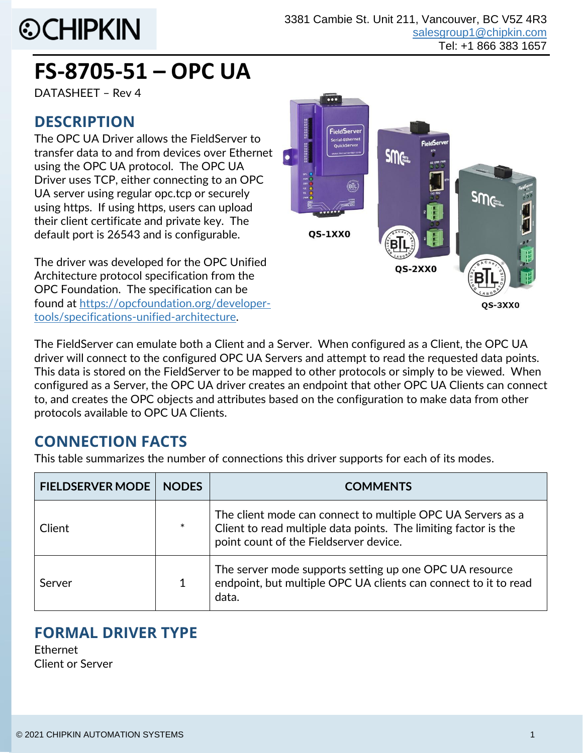# **©CHIPKIN**

## **FS-8705-51 – OPC UA**

DATASHEET – Rev 4

#### **DESCRIPTION**

The OPC UA Driver allows the FieldServer to transfer data to and from devices over Ethernet using the OPC UA protocol. The OPC UA Driver uses TCP, either connecting to an OPC UA server using regular opc.tcp or securely using https. If using https, users can upload their client certificate and private key. The default port is 26543 and is configurable.

The driver was developed for the OPC Unified Architecture protocol specification from the OPC Foundation. The specification can be found at [https://opcfoundation.org/developer](https://opcfoundation.org/developer-tools/specifications-unified-architecture)[tools/specifications-unified-architecture.](https://opcfoundation.org/developer-tools/specifications-unified-architecture)



The FieldServer can emulate both a Client and a Server. When configured as a Client, the OPC UA driver will connect to the configured OPC UA Servers and attempt to read the requested data points. This data is stored on the FieldServer to be mapped to other protocols or simply to be viewed. When configured as a Server, the OPC UA driver creates an endpoint that other OPC UA Clients can connect to, and creates the OPC objects and attributes based on the configuration to make data from other protocols available to OPC UA Clients.

## **CONNECTION FACTS**

This table summarizes the number of connections this driver supports for each of its modes.

| <b>FIELDSERVER MODE</b> | <b>NODES</b> | <b>COMMENTS</b>                                                                                                                                                          |
|-------------------------|--------------|--------------------------------------------------------------------------------------------------------------------------------------------------------------------------|
| Client                  | $\ast$       | The client mode can connect to multiple OPC UA Servers as a<br>Client to read multiple data points. The limiting factor is the<br>point count of the Fieldserver device. |
| Server                  |              | The server mode supports setting up one OPC UA resource<br>endpoint, but multiple OPC UA clients can connect to it to read<br>data.                                      |

## **FORMAL DRIVER TYPE**

Ethernet Client or Server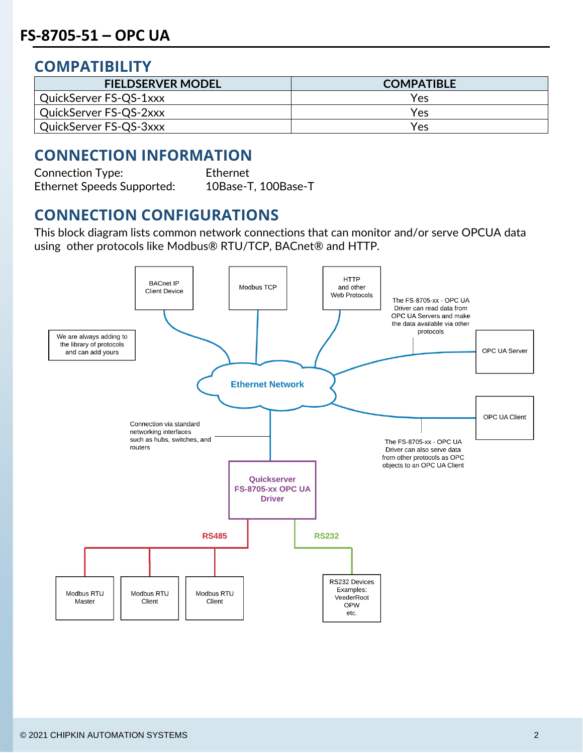#### **COMPATIBILITY**

| <b>FIELDSERVER MODEL</b> | <b>COMPATIBLE</b> |
|--------------------------|-------------------|
| QuickServer FS-QS-1xxx   | Yes               |
| QuickServer FS-QS-2xxx   | Yes               |
| QuickServer FS-QS-3xxx   | Yes               |

#### **CONNECTION INFORMATION**

Connection Type: Ethernet Ethernet Speeds Supported: 10Base-T, 100Base-T

#### **CONNECTION CONFIGURATIONS**

This block diagram lists common network connections that can monitor and/or serve OPCUA data using other protocols like Modbus® RTU/TCP, BACnet® and HTTP.

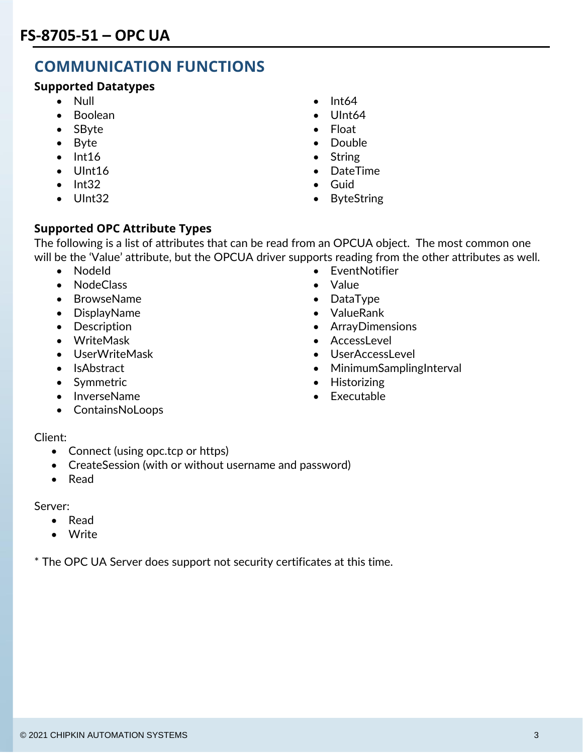## **COMMUNICATION FUNCTIONS**

#### **Supported Datatypes**

- 
- Boolean UInt64
- SByte Float
- 
- 
- 
- Int32 Guid
- 
- Null Int64
	-
	-
- Byte  **Double**
- Int16 String
- UInt16 DateTime
	-
- UInt32 ByteString

#### **Supported OPC Attribute Types**

The following is a list of attributes that can be read from an OPCUA object. The most common one will be the 'Value' attribute, but the OPCUA driver supports reading from the other attributes as well.

- 
- NodeClass Value
- BrowseName  **DataType**
- DisplayName ValueRank
- 
- 
- 
- 
- 
- InverseName Executable
- ContainsNoLoops

#### Client:

- Connect (using opc.tcp or https)
- CreateSession (with or without username and password)
- Read

Server:

- Read
- Write

\* The OPC UA Server does support not security certificates at this time.

- Nodeld EventNotifier
	-
	-
	-
- Description ArrayDimensions
- WriteMask AccessLevel
- UserWriteMask UserAccessLevel
- IsAbstract MinimumSamplingInterval
- Symmetric **•** Historizing
	-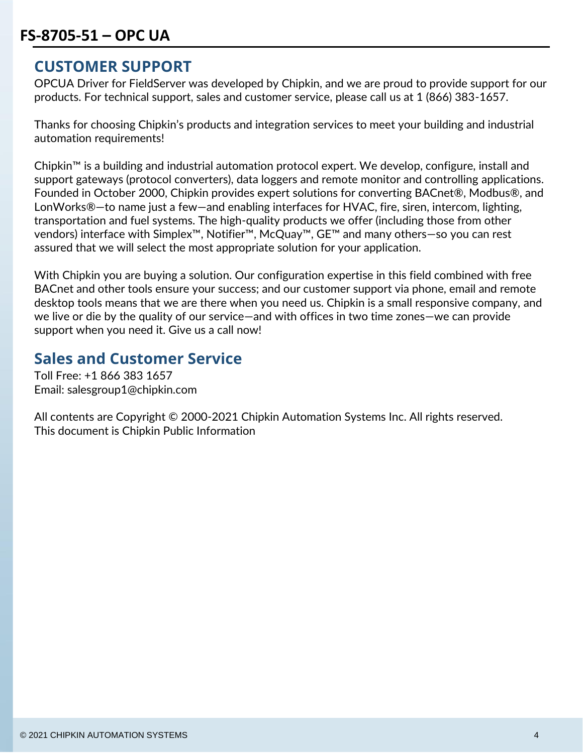#### **CUSTOMER SUPPORT**

OPCUA Driver for FieldServer was developed by Chipkin, and we are proud to provide support for our products. For technical support, sales and customer service, please call us at 1 (866) 383-1657.

Thanks for choosing Chipkin's products and integration services to meet your building and industrial automation requirements!

Chipkin™ is a building and industrial automation protocol expert. We develop, configure, install and support gateways (protocol converters), data loggers and remote monitor and controlling applications. Founded in October 2000, Chipkin provides expert solutions for converting BACnet®, Modbus®, and LonWorks®—to name just a few—and enabling interfaces for HVAC, fire, siren, intercom, lighting, transportation and fuel systems. The high-quality products we offer (including those from other vendors) interface with Simplex™, Notifier™, McQuay™, GE™ and many others—so you can rest assured that we will select the most appropriate solution for your application.

With Chipkin you are buying a solution. Our configuration expertise in this field combined with free BACnet and other tools ensure your success; and our customer support via phone, email and remote desktop tools means that we are there when you need us. Chipkin is a small responsive company, and we live or die by the quality of our service—and with offices in two time zones—we can provide support when you need it. Give us a call now!

#### **Sales and Customer Service**

Toll Free: +1 866 383 1657 Email: salesgroup1@chipkin.com

All contents are Copyright © 2000-2021 Chipkin Automation Systems Inc. All rights reserved. This document is Chipkin Public Information